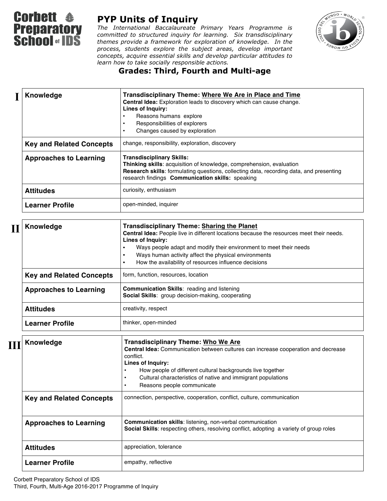

## **PYP Units of Inquiry**

*The International Baccalaureate Primary Years Programme is committed to structured inquiry for learning. Six transdisciplinary themes provide a framework for exploration of knowledge. In the process, students explore the subject areas, develop important concepts, acquire essential skills and develop particular attitudes to learn how to take socially responsible actions.*



## **Grades: Third, Fourth and Multi-age**

| Knowledge                       | Transdisciplinary Theme: Where We Are in Place and Time<br>Central Idea: Exploration leads to discovery which can cause change.<br>Lines of Inquiry:<br>Reasons humans explore<br>Responsibilities of explorers<br>$\bullet$<br>Changes caused by exploration<br>$\bullet$                                                                                                                        |
|---------------------------------|---------------------------------------------------------------------------------------------------------------------------------------------------------------------------------------------------------------------------------------------------------------------------------------------------------------------------------------------------------------------------------------------------|
| <b>Key and Related Concepts</b> | change, responsibility, exploration, discovery                                                                                                                                                                                                                                                                                                                                                    |
| <b>Approaches to Learning</b>   | <b>Transdisciplinary Skills:</b><br>Thinking skills: acquisition of knowledge, comprehension, evaluation<br>Research skills: formulating questions, collecting data, recording data, and presenting<br>research findings Communication skills: speaking                                                                                                                                           |
| <b>Attitudes</b>                | curiosity, enthusiasm                                                                                                                                                                                                                                                                                                                                                                             |
| <b>Learner Profile</b>          | open-minded, inquirer                                                                                                                                                                                                                                                                                                                                                                             |
|                                 |                                                                                                                                                                                                                                                                                                                                                                                                   |
| Knowledge                       | <b>Transdisciplinary Theme: Sharing the Planet</b><br>Central Idea: People live in different locations because the resources meet their needs.<br>Lines of Inquiry:<br>Ways people adapt and modify their environment to meet their needs<br>$\bullet$<br>Ways human activity affect the physical environments<br>$\bullet$<br>How the availability of resources influence decisions<br>$\bullet$ |
| <b>Key and Related Concepts</b> | form, function, resources, location                                                                                                                                                                                                                                                                                                                                                               |
| <b>Approaches to Learning</b>   | Communication Skills: reading and listening<br>Social Skills: group decision-making, cooperating                                                                                                                                                                                                                                                                                                  |
| <b>Attitudes</b>                | creativity, respect                                                                                                                                                                                                                                                                                                                                                                               |
| <b>Learner Profile</b>          | thinker, open-minded                                                                                                                                                                                                                                                                                                                                                                              |
|                                 |                                                                                                                                                                                                                                                                                                                                                                                                   |
| Knowledge                       | <b>Transdisciplinary Theme: Who We Are</b><br>Central Idea: Communication between cultures can increase cooperation and decrease<br>conflict.<br>Lines of Inquiry:                                                                                                                                                                                                                                |

|                                 | Lines of Inquiry:<br>How people of different cultural backgrounds live together<br>Cultural characteristics of native and immigrant populations<br>Reasons people communicate |
|---------------------------------|-------------------------------------------------------------------------------------------------------------------------------------------------------------------------------|
| <b>Key and Related Concepts</b> | connection, perspective, cooperation, conflict, culture, communication                                                                                                        |
| <b>Approaches to Learning</b>   | <b>Communication skills:</b> listening, non-verbal communication<br>Social Skills: respecting others, resolving conflict, adopting a variety of group roles                   |
| <b>Attitudes</b>                | appreciation, tolerance                                                                                                                                                       |
| <b>Learner Profile</b>          | empathy, reflective                                                                                                                                                           |